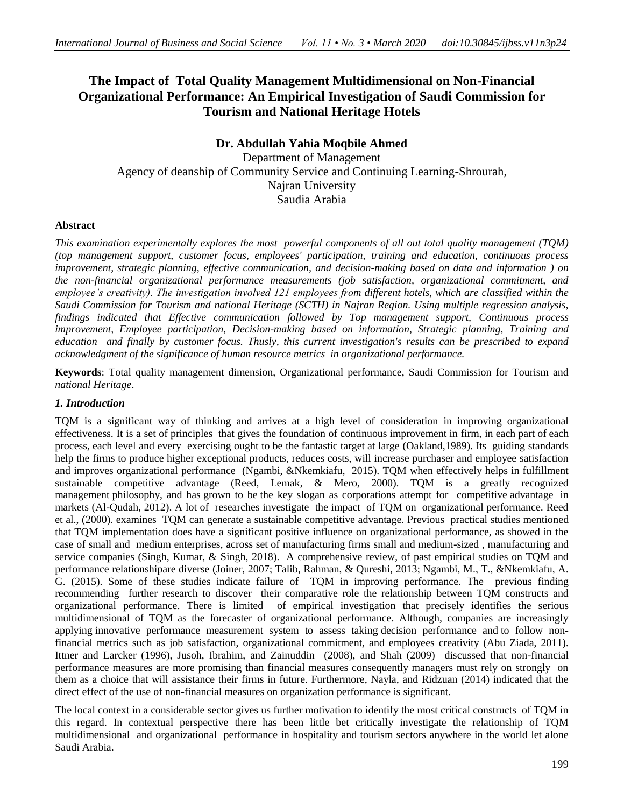# **The Impact of Total Quality Management Multidimensional on Non-Financial Organizational Performance: An Empirical Investigation of Saudi Commission for Tourism and National Heritage Hotels**

# **Dr. Abdullah Yahia Moqbile Ahmed**

Department of Management Agency of deanship of Community Service and Continuing Learning-Shrourah, Najran University Saudia Arabia

### **Abstract**

*This examination experimentally explores the most powerful components of all out total quality management (TQM) (top management support, customer focus, employees' participation, training and education, continuous process improvement, strategic planning, effective communication, and decision-making based on data and information ) on the non-financial organizational performance measurements (job satisfaction, organizational commitment, and employee's creativity). The investigation involved 121 employees from different hotels, which are classified within the Saudi Commission for Tourism and national Heritage (SCTH) in Najran Region. Using multiple regression analysis, findings indicated that Effective communication followed by Top management support, Continuous process improvement, Employee participation, Decision-making based on information, Strategic planning, Training and education and finally by customer focus. Thusly, this current investigation's results can be prescribed to expand acknowledgment of the significance of human resource metrics in organizational performance.* 

**Keywords**: Total quality management dimension, Organizational performance, Saudi Commission for Tourism and *national Heritage*.

# *1. Introduction*

TQM is a significant way of thinking and arrives at a high level of consideration in improving organizational effectiveness. It is a set of principles that gives the foundation of continuous improvement in firm, in each part of each process, each level and every exercising ought to be the fantastic target at large (Oakland,1989). Its guiding standards help the firms to produce higher exceptional products, reduces costs, will increase purchaser and employee satisfaction and improves organizational performance (Ngambi, &Nkemkiafu, 2015). TQM when effectively helps in fulfillment sustainable competitive advantage (Reed, Lemak, & Mero, 2000). TQM is a greatly recognized management philosophy, and has grown to be the key slogan as corporations attempt for competitive advantage in markets (Al-Qudah, 2012). A lot of researches investigate the impact of TQM on organizational performance. Reed et al., (2000). examines TQM can generate a sustainable competitive advantage. Previous practical studies mentioned that TQM implementation does have a significant positive influence on organizational performance, as showed in the case of small and medium enterprises, across set of manufacturing firms small and medium-sized , manufacturing and service companies (Singh, Kumar, & Singh, 2018). A comprehensive review, of past empirical studies on TQM and performance relationshipare diverse (Joiner, 2007; Talib, Rahman, & Qureshi, 2013; Ngambi, M., T., &Nkemkiafu, A. G. (2015). Some of these studies indicate failure of TQM in improving performance. The previous finding recommending further research to discover their comparative role the relationship between TQM constructs and organizational performance. There is limited of empirical investigation that precisely identifies the serious multidimensional of TQM as the forecaster of organizational performance. Although, companies are increasingly applying innovative performance measurement system to assess taking decision performance and to follow nonfinancial metrics such as job satisfaction, organizational commitment, and employees creativity (Abu Ziada, 2011). Ittner and Larcker (1996), Jusoh, Ibrahim, and Zainuddin (2008), and Shah (2009) discussed that non-financial performance measures are more promising than financial measures consequently managers must rely on strongly on them as a choice that will assistance their firms in future. Furthermore, Nayla, and Ridzuan (2014) indicated that the direct effect of the use of non-financial measures on organization performance is significant.

The local context in a considerable sector gives us further motivation to identify the most critical constructs of TQM in this regard. In contextual perspective there has been little bet critically investigate the relationship of TQM multidimensional and organizational performance in hospitality and tourism sectors anywhere in the world let alone Saudi Arabia.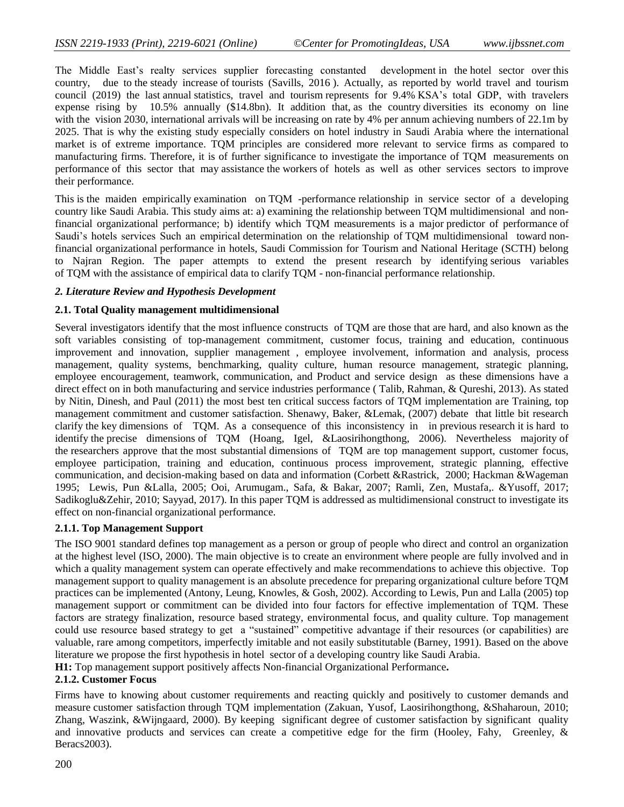The Middle East's realty services supplier forecasting constanted development in the hotel sector over this country, due to the steady increase of tourists (Savills, 2016 ). Actually, as reported by world travel and tourism council (2019) the last annual statistics, travel and tourism represents for 9.4% KSA's total GDP, with travelers expense rising by 10.5% annually (\$14.8bn). It addition that, as the country diversities its economy on line with the vision 2030, international arrivals will be increasing on rate by 4% per annum achieving numbers of 22.1m by 2025. That is why the existing study especially considers on hotel industry in Saudi Arabia where the international market is of extreme importance. TQM principles are considered more relevant to service firms as compared to manufacturing firms. Therefore, it is of further significance to investigate the importance of TQM measurements on performance of this sector that may assistance the workers of hotels as well as other services sectors to improve their performance.

This is the maiden empirically examination on TQM -performance relationship in service sector of a developing country like Saudi Arabia. This study aims at: a) examining the relationship between TQM multidimensional and nonfinancial organizational performance; b) identify which TQM measurements is a major predictor of performance of Saudi's hotels services Such an empirical determination on the relationship of TQM multidimensional toward nonfinancial organizational performance in hotels, Saudi Commission for Tourism and National Heritage (SCTH) belong to Najran Region. The paper attempts to extend the present research by identifying serious variables of TQM with the assistance of empirical data to clarify TQM - non-financial performance relationship.

#### *2. Literature Review and Hypothesis Development*

#### **2.1. Total Quality management multidimensional**

Several investigators identify that the most influence constructs of TQM are those that are hard, and also known as the soft variables consisting of top-management commitment, customer focus, training and education, continuous improvement and innovation, supplier management , employee involvement, information and analysis, process management, quality systems, benchmarking, quality culture, human resource management, strategic planning, employee encouragement, teamwork, communication, and Product and service design as these dimensions have a direct effect on in both manufacturing and service industries performance ( Talib, Rahman, & Qureshi, 2013). As stated by Nitin, Dinesh, and Paul (2011) the most best ten critical success factors of TQM implementation are Training, top management commitment and customer satisfaction. Shenawy, Baker, &Lemak, (2007) debate that little bit research clarify the key dimensions of TQM. As a consequence of this inconsistency in in previous research it is hard to identify the precise dimensions of TQM (Hoang, Igel, &Laosirihongthong, 2006). Nevertheless majority of the researchers approve that the most substantial dimensions of TQM are top management support, customer focus, employee participation, training and education, continuous process improvement, strategic planning, effective communication, and decision-making based on data and information (Corbett &Rastrick, 2000; Hackman &Wageman 1995; Lewis, Pun &Lalla, 2005; Ooi, Arumugam., Safa, & Bakar, 2007; Ramli, Zen, Mustafa,. &Yusoff, 2017; Sadikoglu&Zehir, 2010; Sayyad, 2017). In this paper TQM is addressed as multidimensional construct to investigate its effect on non-financial organizational performance.

#### **2.1.1. Top Management Support**

The ISO 9001 standard defines top management as a person or group of people who direct and control an organization at the highest level (ISO, 2000). The main objective is to create an environment where people are fully involved and in which a quality management system can operate effectively and make recommendations to achieve this objective. Top management support to quality management is an absolute precedence for preparing organizational culture before TQM practices can be implemented (Antony, Leung, Knowles, & Gosh, 2002). According to Lewis, Pun and Lalla (2005) top management support or commitment can be divided into four factors for effective implementation of TQM. These factors are strategy finalization, resource based strategy, environmental focus, and quality culture. Top management could use resource based strategy to get a "sustained" competitive advantage if their resources (or capabilities) are valuable, rare among competitors, imperfectly imitable and not easily substitutable (Barney, 1991). Based on the above literature we propose the first hypothesis in hotel sector of a developing country like Saudi Arabia. **H1:** Top management support positively affects Non-financial Organizational Performance**.**

### **2.1.2. Customer Focus**

Firms have to knowing about customer requirements and reacting quickly and positively to customer demands and measure customer satisfaction through TQM implementation (Zakuan, Yusof, Laosirihongthong, &Shaharoun, 2010; Zhang, Waszink, &Wijngaard, 2000). By keeping significant degree of customer satisfaction by significant quality and innovative products and services can create a competitive edge for the firm (Hooley, Fahy, Greenley, & Beracs2003).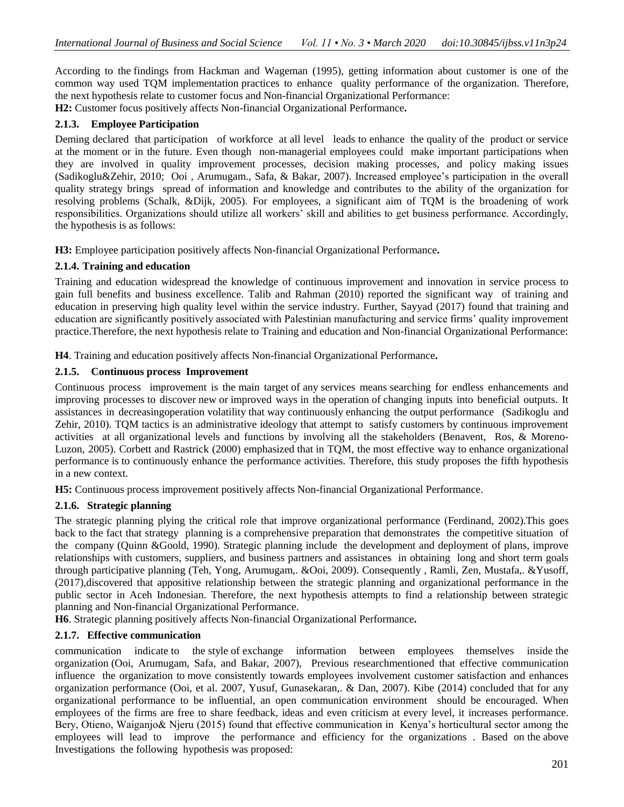According to the findings from Hackman and Wageman (1995), getting information about customer is one of the common way used TQM implementation practices to enhance quality performance of the organization. Therefore, the next hypothesis relate to customer focus and Non-financial Organizational Performance: **H2:** Customer focus positively affects Non-financial Organizational Performance**.**

# **2.1.3. Employee Participation**

Deming declared that participation of workforce at all level leads to enhance the quality of the product or service at the moment or in the future. Even though non-managerial employees could make important participations when they are involved in quality improvement processes, decision making processes, and policy making issues (Sadikoglu&Zehir, 2010; Ooi , Arumugam., Safa, & Bakar, 2007). Increased employee's participation in the overall quality strategy brings spread of information and knowledge and contributes to the ability of the organization for resolving problems (Schalk, &Dijk, 2005). For employees, a significant aim of TQM is the broadening of work responsibilities. Organizations should utilize all workers' skill and abilities to get business performance. Accordingly, the hypothesis is as follows:

**H3:** Employee participation positively affects Non-financial Organizational Performance**.**

# **2.1.4. Training and education**

Training and education widespread the knowledge of continuous improvement and innovation in service process to gain full benefits and business excellence. Talib and Rahman (2010) reported the significant way of training and education in preserving high quality level within the service industry. Further, Sayyad (2017) found that training and education are significantly positively associated with Palestinian manufacturing and service firms' quality improvement practice.Therefore, the next hypothesis relate to Training and education and Non-financial Organizational Performance:

**H4**. Training and education positively affects Non-financial Organizational Performance**.**

# **2.1.5. Continuous process Improvement**

Continuous process improvement is the main target of any services means searching for endless enhancements and improving processes to discover new or improved ways in the operation of changing inputs into beneficial outputs. It assistances in decreasingoperation volatility that way continuously enhancing the output performance (Sadikoglu and Zehir, 2010). TQM tactics is an administrative ideology that attempt to satisfy customers by continuous improvement activities at all organizational levels and functions by involving all the stakeholders (Benavent, Ros, & Moreno-Luzon, 2005). Corbett and Rastrick (2000) emphasized that in TQM, the most effective way to enhance organizational performance is to continuously enhance the performance activities. Therefore, this study proposes the fifth hypothesis in a new context.

**H5:** Continuous process improvement positively affects Non-financial Organizational Performance.

# **2.1.6. Strategic planning**

The strategic planning plying the critical role that improve organizational performance (Ferdinand, 2002).This goes back to the fact that strategy planning is a comprehensive preparation that demonstrates the competitive situation of the company (Quinn &Goold, 1990). Strategic planning include the development and deployment of plans, improve relationships with customers, suppliers, and business partners and assistances in obtaining long and short term goals through participative planning (Teh, Yong, Arumugam,. &Ooi, 2009). Consequently , Ramli, Zen, Mustafa,. &Yusoff, (2017),discovered that appositive relationship between the strategic planning and organizational performance in the public sector in Aceh Indonesian. Therefore, the next hypothesis attempts to find a relationship between strategic planning and Non-financial Organizational Performance.

**H6**. Strategic planning positively affects Non-financial Organizational Performance**.**

### **2.1.7. Effective communication**

communication indicate to the style of exchange information between employees themselves inside the organization (Ooi, Arumugam, Safa, and Bakar, 2007), Previous researchmentioned that effective communication influence the organization to move consistently towards employees involvement customer satisfaction and enhances organization performance (Ooi, et al. 2007, Yusuf, Gunasekaran,. & Dan, 2007). Kibe (2014) concluded that for any organizational performance to be influential, an open communication environment should be encouraged. When employees of the firms are free to share feedback, ideas and even criticism at every level, it increases performance. Bery, Otieno, Waiganjo& Njeru (2015) found that effective communication in Kenya's horticultural sector among the employees will lead to improve the performance and efficiency for the organizations . Based on the above Investigations the following hypothesis was proposed: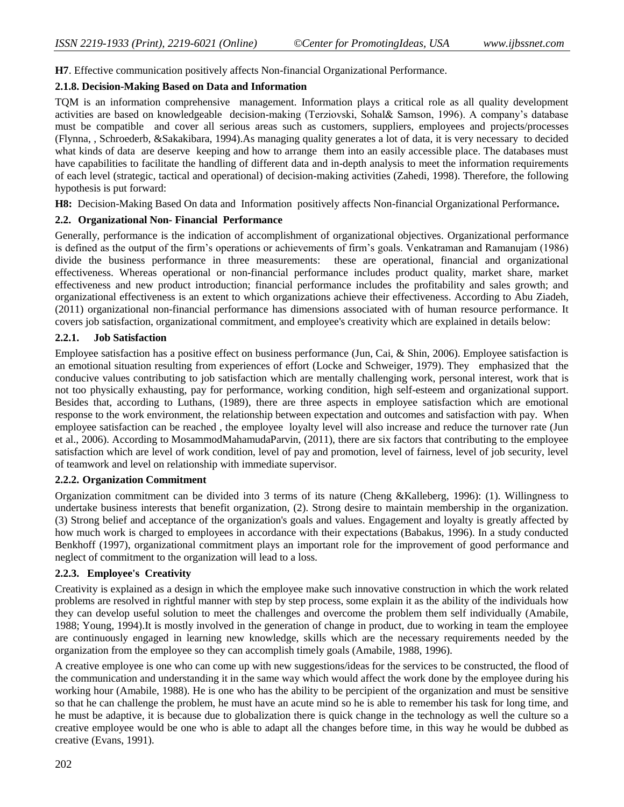**H7**. Effective communication positively affects Non-financial Organizational Performance.

# **2.1.8. Decision-Making Based on Data and Information**

TQM is an information comprehensive management. Information plays a critical role as all quality development activities are based on knowledgeable decision-making (Terziovski, Sohal& Samson, 1996). A company's database must be compatible and cover all serious areas such as customers, suppliers, employees and projects/processes (Flynna, , Schroederb, &Sakakibara, 1994).As managing quality generates a lot of data, it is very necessary to decided what kinds of data are deserve keeping and how to arrange them into an easily accessible place. The databases must have capabilities to facilitate the handling of different data and in-depth analysis to meet the information requirements of each level (strategic, tactical and operational) of decision-making activities (Zahedi, 1998). Therefore, the following hypothesis is put forward:

**H8:** Decision-Making Based On data and Information positively affects Non-financial Organizational Performance**.**

# **2.2. Organizational Non- Financial Performance**

Generally, performance is the indication of accomplishment of organizational objectives. Organizational performance is defined as the output of the firm's operations or achievements of firm's goals. Venkatraman and Ramanujam (1986) divide the business performance in three measurements: these are operational, financial and organizational effectiveness. Whereas operational or non-financial performance includes product quality, market share, market effectiveness and new product introduction; financial performance includes the profitability and sales growth; and organizational effectiveness is an extent to which organizations achieve their effectiveness. According to Abu Ziadeh, (2011) organizational non-financial performance has dimensions associated with of human resource performance. It covers job satisfaction, organizational commitment, and employee's creativity which are explained in details below:

# **2.2.1. Job Satisfaction**

Employee satisfaction has a positive effect on business performance (Jun, Cai, & Shin, 2006). Employee satisfaction is an emotional situation resulting from experiences of effort (Locke and Schweiger, 1979). They emphasized that the conducive values contributing to job satisfaction which are mentally challenging work, personal interest, work that is not too physically exhausting, pay for performance, working condition, high self-esteem and organizational support. Besides that, according to Luthans, (1989), there are three aspects in employee satisfaction which are emotional response to the work environment, the relationship between expectation and outcomes and satisfaction with pay. When employee satisfaction can be reached , the employee loyalty level will also increase and reduce the turnover rate (Jun et al., 2006). According to MosammodMahamudaParvin, (2011), there are six factors that contributing to the employee satisfaction which are level of work condition, level of pay and promotion, level of fairness, level of job security, level of teamwork and level on relationship with immediate supervisor.

### **2.2.2. Organization Commitment**

Organization commitment can be divided into 3 terms of its nature (Cheng &Kalleberg, 1996): (1). Willingness to undertake business interests that benefit organization, (2). Strong desire to maintain membership in the organization. (3) Strong belief and acceptance of the organization's goals and values. Engagement and loyalty is greatly affected by how much work is charged to employees in accordance with their expectations (Babakus, 1996). In a study conducted Benkhoff (1997), organizational commitment plays an important role for the improvement of good performance and neglect of commitment to the organization will lead to a loss.

### **2.2.3. Employee's Creativity**

Creativity is explained as a design in which the employee make such innovative construction in which the work related problems are resolved in rightful manner with step by step process, some explain it as the ability of the individuals how they can develop useful solution to meet the challenges and overcome the problem them self individually (Amabile, 1988; Young, 1994).It is mostly involved in the generation of change in product, due to working in team the employee are continuously engaged in learning new knowledge, skills which are the necessary requirements needed by the organization from the employee so they can accomplish timely goals (Amabile, 1988, 1996).

A creative employee is one who can come up with new suggestions/ideas for the services to be constructed, the flood of the communication and understanding it in the same way which would affect the work done by the employee during his working hour (Amabile, 1988). He is one who has the ability to be percipient of the organization and must be sensitive so that he can challenge the problem, he must have an acute mind so he is able to remember his task for long time, and he must be adaptive, it is because due to globalization there is quick change in the technology as well the culture so a creative employee would be one who is able to adapt all the changes before time, in this way he would be dubbed as creative (Evans, 1991).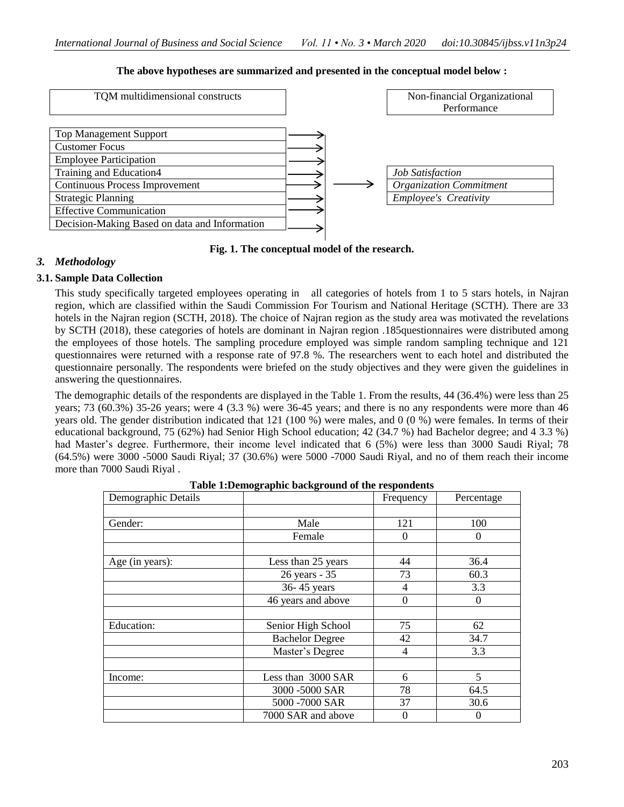| TQM multidimensional constructs                                                                                                                       |  | Non-financial Organizational<br>Performance                    |
|-------------------------------------------------------------------------------------------------------------------------------------------------------|--|----------------------------------------------------------------|
| <b>Top Management Support</b><br><b>Customer Focus</b><br><b>Employee Participation</b><br>Training and Education4                                    |  | <b>Job Satisfaction</b>                                        |
| <b>Continuous Process Improvement</b><br><b>Strategic Planning</b><br><b>Effective Communication</b><br>Decision-Making Based on data and Information |  | <b>Organization Commitment</b><br><b>Employee's Creativity</b> |

### **The above hypotheses are summarized and presented in the conceptual model below :**

### **Fig. 1. The conceptual model of the research.**

### *3. Methodology*

### **3.1. Sample Data Collection**

This study specifically targeted employees operating in all categories of hotels from 1 to 5 stars hotels, in Najran region, which are classified within the Saudi Commission For Tourism and National Heritage (SCTH). There are 33 hotels in the Najran region (SCTH, 2018). The choice of Najran region as the study area was motivated the revelations by SCTH (2018), these categories of hotels are dominant in Najran region .185questionnaires were distributed among the employees of those hotels. The sampling procedure employed was simple random sampling technique and 121 questionnaires were returned with a response rate of 97.8 %. The researchers went to each hotel and distributed the questionnaire personally. The respondents were briefed on the study objectives and they were given the guidelines in answering the questionnaires.

The demographic details of the respondents are displayed in the Table 1. From the results, 44 (36.4%) were less than 25 years; 73 (60.3%) 35-26 years; were 4 (3.3 %) were 36-45 years; and there is no any respondents were more than 46 years old. The gender distribution indicated that 121 (100 %) were males, and 0 (0 %) were females. In terms of their educational background, 75 (62%) had Senior High School education; 42 (34.7 %) had Bachelor degree; and 4 3.3 %) had Master's degree. Furthermore, their income level indicated that 6 (5%) were less than 3000 Saudi Rival; 78 (64.5%) were 3000 -5000 Saudi Riyal; 37 (30.6%) were 5000 -7000 Saudi Riyal, and no of them reach their income more than 7000 Saudi Riyal .

| Demographic Details |                        | Frequency        | Percentage |
|---------------------|------------------------|------------------|------------|
|                     |                        |                  |            |
| Gender:             | Male                   | 121              | 100        |
|                     | Female                 | $\Omega$         | $\theta$   |
|                     |                        |                  |            |
| Age (in years):     | Less than 25 years     | 44               | 36.4       |
|                     | 26 years - 35          | 73               | 60.3       |
|                     | 36-45 years            | 4                | 3.3        |
|                     | 46 years and above     | $\boldsymbol{0}$ | $\theta$   |
|                     |                        |                  |            |
| <b>Education:</b>   | Senior High School     | 75               | 62         |
|                     | <b>Bachelor Degree</b> | 42               | 34.7       |
|                     | Master's Degree        | 4                | 3.3        |
|                     |                        |                  |            |
| Income:             | Less than 3000 SAR     | 6                | 5          |
|                     | 3000 -5000 SAR         | 78               | 64.5       |
|                     | 5000 -7000 SAR         | 37               | 30.6       |
|                     | 7000 SAR and above     | $\theta$         | O          |

**Table 1:Demographic background of the respondents**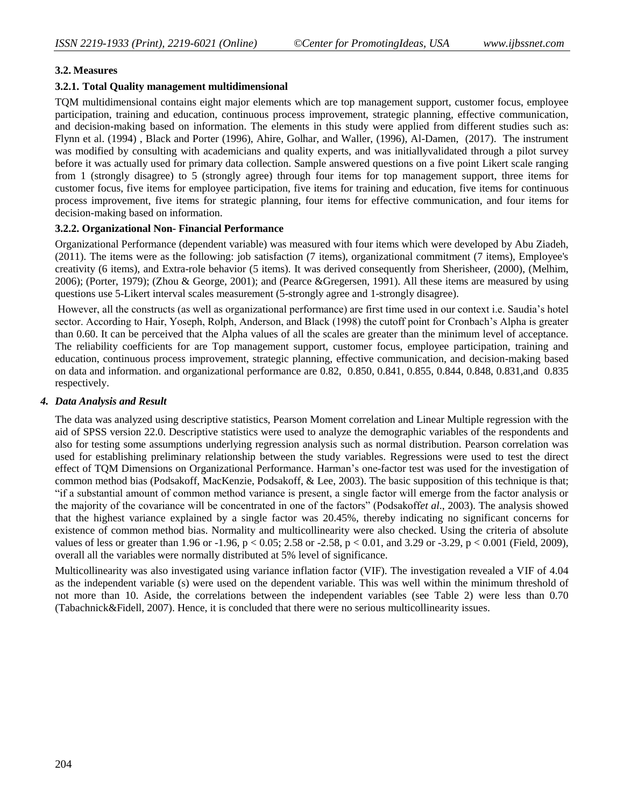### **3.2. Measures**

#### **3.2.1. Total Quality management multidimensional**

TQM multidimensional contains eight major elements which are top management support, customer focus, employee participation, training and education, continuous process improvement, strategic planning, effective communication, and decision-making based on information. The elements in this study were applied from different studies such as: Flynn et al. (1994) , Black and Porter (1996), Ahire, Golhar, and Waller, (1996), Al-Damen, (2017). The instrument was modified by consulting with academicians and quality experts, and was initiallyvalidated through a pilot survey before it was actually used for primary data collection. Sample answered questions on a five point Likert scale ranging from 1 (strongly disagree) to 5 (strongly agree) through four items for top management support, three items for customer focus, five items for employee participation, five items for training and education, five items for continuous process improvement, five items for strategic planning, four items for effective communication, and four items for decision-making based on information.

#### **3.2.2. Organizational Non- Financial Performance**

Organizational Performance (dependent variable) was measured with four items which were developed by Abu Ziadeh, (2011). The items were as the following: job satisfaction (7 items), organizational commitment (7 items), Employee's creativity (6 items), and Extra-role behavior (5 items). It was derived consequently from Sherisheer, (2000), (Melhim, 2006); (Porter, 1979); (Zhou & George, 2001); and (Pearce &Gregersen, 1991). All these items are measured by using questions use 5-Likert interval scales measurement (5-strongly agree and 1-strongly disagree).

However, all the constructs (as well as organizational performance) are first time used in our context i.e. Saudia's hotel sector. According to Hair, Yoseph, Rolph, Anderson, and Black (1998) the cutoff point for Cronbach's Alpha is greater than 0.60. It can be perceived that the Alpha values of all the scales are greater than the minimum level of acceptance. The reliability coefficients for are Top management support, customer focus, employee participation, training and education, continuous process improvement, strategic planning, effective communication, and decision-making based on data and information. and organizational performance are 0.82, 0.850, 0.841, 0.855, 0.844, 0.848, 0.831,and 0.835 respectively.

#### *4. Data Analysis and Result*

The data was analyzed using descriptive statistics, Pearson Moment correlation and Linear Multiple regression with the aid of SPSS version 22.0. Descriptive statistics were used to analyze the demographic variables of the respondents and also for testing some assumptions underlying regression analysis such as normal distribution. Pearson correlation was used for establishing preliminary relationship between the study variables. Regressions were used to test the direct effect of TQM Dimensions on Organizational Performance. Harman's one-factor test was used for the investigation of common method bias (Podsakoff, MacKenzie, Podsakoff, & Lee, 2003). The basic supposition of this technique is that; "if a substantial amount of common method variance is present, a single factor will emerge from the factor analysis or the majority of the covariance will be concentrated in one of the factors" (Podsakoff*et al*., 2003). The analysis showed that the highest variance explained by a single factor was 20.45%, thereby indicating no significant concerns for existence of common method bias. Normality and multicollinearity were also checked. Using the criteria of absolute values of less or greater than 1.96 or -1.96, p < 0.05; 2.58 or -2.58, p < 0.01, and 3.29 or -3.29, p < 0.001 (Field, 2009), overall all the variables were normally distributed at 5% level of significance.

Multicollinearity was also investigated using variance inflation factor (VIF). The investigation revealed a VIF of 4.04 as the independent variable (s) were used on the dependent variable. This was well within the minimum threshold of not more than 10. Aside, the correlations between the independent variables (see Table 2) were less than 0.70 (Tabachnick&Fidell, 2007). Hence, it is concluded that there were no serious multicollinearity issues.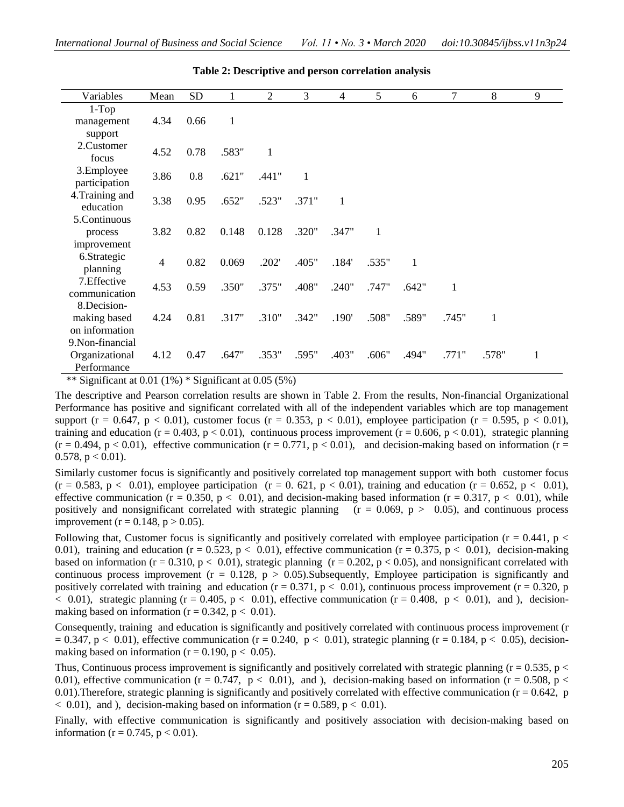| Variables                | Mean           | <b>SD</b> |       | 2     | 3     | $\overline{4}$ | 5     | 6     | 7     | 8     | 9 |
|--------------------------|----------------|-----------|-------|-------|-------|----------------|-------|-------|-------|-------|---|
| $1-Top$                  |                |           |       |       |       |                |       |       |       |       |   |
| management               | 4.34           | 0.66      | 1     |       |       |                |       |       |       |       |   |
| support                  |                |           |       |       |       |                |       |       |       |       |   |
| 2.Customer<br>focus      | 4.52           | 0.78      | .583" | 1     |       |                |       |       |       |       |   |
| 3.Employee               |                |           |       |       |       |                |       |       |       |       |   |
| participation            | 3.86           | 0.8       | .621" | .441" | 1     |                |       |       |       |       |   |
| 4. Training and          |                |           |       |       |       |                |       |       |       |       |   |
| education                | 3.38           | 0.95      | .652" | .523" | .371" | 1              |       |       |       |       |   |
| 5.Continuous             |                |           |       |       |       |                |       |       |       |       |   |
| process                  | 3.82           | 0.82      | 0.148 | 0.128 | .320" | .347"          | 1     |       |       |       |   |
| improvement              |                |           |       |       |       |                |       |       |       |       |   |
| 6.Strategic              | $\overline{4}$ | 0.82      | 0.069 | .202' | .405" | .184'          | .535" | 1     |       |       |   |
| planning<br>7. Effective |                |           |       |       |       |                |       |       |       |       |   |
| communication            | 4.53           | 0.59      | .350" | .375" | .408" | .240"          | .747" | .642" | 1     |       |   |
| 8. Decision-             |                |           |       |       |       |                |       |       |       |       |   |
| making based             | 4.24           | 0.81      | .317" | .310" | .342" | .190'          | .508" | .589" | .745" | 1     |   |
| on information           |                |           |       |       |       |                |       |       |       |       |   |
| 9. Non-financial         |                |           |       |       |       |                |       |       |       |       |   |
| Organizational           | 4.12           | 0.47      | .647" | .353" | .595" | .403"          | .606" | .494" | .771" | .578" | 1 |
| Performance              |                |           |       |       |       |                |       |       |       |       |   |

**Table 2: Descriptive and person correlation analysis**

\*\* Significant at  $0.01 (1\%)$  \* Significant at  $0.05 (5\%)$ 

The descriptive and Pearson correlation results are shown in Table 2. From the results, Non-financial Organizational Performance has positive and significant correlated with all of the independent variables which are top management support (r = 0.647, p < 0.01), customer focus (r = 0.353, p < 0.01), employee participation (r = 0.595, p < 0.01), training and education ( $r = 0.403$ ,  $p < 0.01$ ), continuous process improvement ( $r = 0.606$ ,  $p < 0.01$ ), strategic planning  $(r = 0.494, p < 0.01)$ , effective communication  $(r = 0.771, p < 0.01)$ , and decision-making based on information  $(r = 0.771, p < 0.01)$  $0.578$ ,  $p < 0.01$ ).

Similarly customer focus is significantly and positively correlated top management support with both customer focus  $(r = 0.583, p < 0.01)$ , employee participation  $(r = 0.621, p < 0.01)$ , training and education  $(r = 0.652, p < 0.01)$ , effective communication ( $r = 0.350$ ,  $p < 0.01$ ), and decision-making based information ( $r = 0.317$ ,  $p < 0.01$ ), while positively and nonsignificant correlated with strategic planning  $(r = 0.069, p > 0.05)$ , and continuous process improvement ( $r = 0.148$ ,  $p > 0.05$ ).

Following that, Customer focus is significantly and positively correlated with employee participation ( $r = 0.441$ ,  $p <$ 0.01), training and education (r = 0.523, p < 0.01), effective communication (r = 0.375, p < 0.01), decision-making based on information (r = 0.310, p < 0.01), strategic planning (r = 0.202, p < 0.05), and nonsignificant correlated with continuous process improvement ( $r = 0.128$ ,  $p > 0.05$ ). Subsequently, Employee participation is significantly and positively correlated with training and education  $(r = 0.371, p < 0.01)$ , continuous process improvement  $(r = 0.320, p$  $< 0.01$ ), strategic planning (r = 0.405, p  $< 0.01$ ), effective communication (r = 0.408, p  $< 0.01$ ), and ), decisionmaking based on information ( $r = 0.342$ ,  $p < 0.01$ ).

Consequently, training and education is significantly and positively correlated with continuous process improvement (r  $= 0.347$ , p < 0.01), effective communication (r = 0.240, p < 0.01), strategic planning (r = 0.184, p < 0.05), decisionmaking based on information ( $r = 0.190$ ,  $p < 0.05$ ).

Thus, Continuous process improvement is significantly and positively correlated with strategic planning ( $r = 0.535$ , p  $\lt$ 0.01), effective communication ( $r = 0.747$ ,  $p < 0.01$ ), and ), decision-making based on information ( $r = 0.508$ ,  $p <$ 0.01). Therefore, strategic planning is significantly and positively correlated with effective communication  $(r = 0.642, p$  $< 0.01$ , and ), decision-making based on information ( $r = 0.589$ ,  $p < 0.01$ ).

Finally, with effective communication is significantly and positively association with decision-making based on information ( $r = 0.745$ ,  $p < 0.01$ ).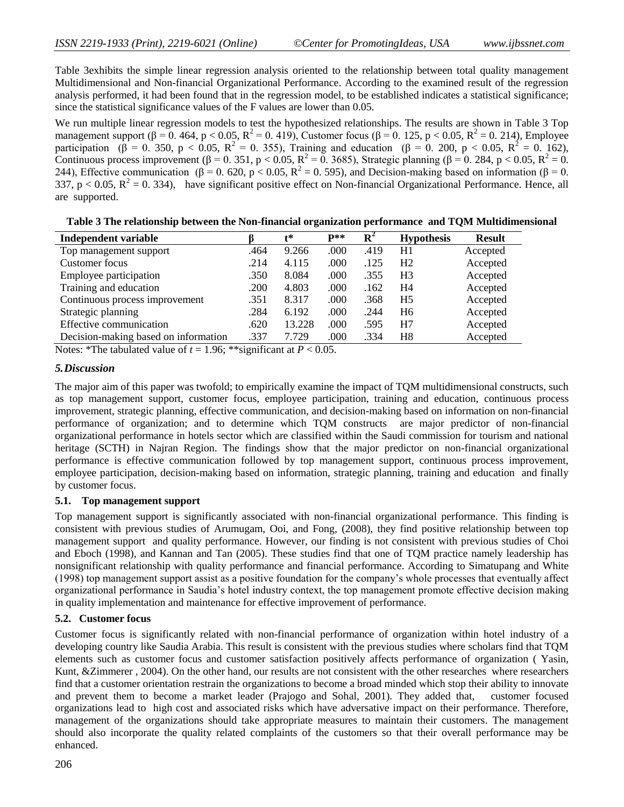Table 3exhibits the simple linear regression analysis oriented to the relationship between total quality management Multidimensional and Non-financial Organizational Performance. According to the examined result of the regression analysis performed, it had been found that in the regression model, to be established indicates a statistical significance; since the statistical significance values of the F values are lower than 0.05.

We run multiple linear regression models to test the hypothesized relationships. The results are shown in Table 3 Top management support ( $\beta = 0$ . 464, p < 0.05, R<sup>2</sup> = 0. 419), Customer focus ( $\beta = 0$ . 125, p < 0.05, R<sup>2</sup> = 0. 214), Employee participation ( $\hat{\beta} = 0$ . 350, p < 0.05, R<sup>2</sup> = 0. 355), Training and education ( $\beta = 0$ . 200, p < 0.05, R<sup>2</sup> = 0. 162), Continuous process improvement ( $\beta = 0.351$ , p < 0.05, R<sup>2</sup> = 0.3685), Strategic planning ( $\beta = 0.284$ , p < 0.05, R<sup>2</sup> = 0. 244), Effective communication ( $\beta$  = 0. 620, p < 0.05, R<sup>2</sup> = 0. 595), and Decision-making based on information ( $\beta$  = 0. 337,  $p < 0.05$ ,  $R^2 = 0.334$ ), have significant positive effect on Non-financial Organizational Performance. Hence, all are supported.

| Independent variable                 |      | $\mathbf{t}^*$ | $\mathbf{p}**$ | $\mathbf{R}^2$ | <b>Hypothesis</b> | <b>Result</b> |
|--------------------------------------|------|----------------|----------------|----------------|-------------------|---------------|
| Top management support               | .464 | 9.266          | .000           | .419           | H1                | Accepted      |
| Customer focus                       | .214 | 4.115          | .000           | .125           | H <sub>2</sub>    | Accepted      |
| Employee participation               | .350 | 8.084          | .000           | .355           | H <sub>3</sub>    | Accepted      |
| Training and education               | .200 | 4.803          | .000           | .162           | H4                | Accepted      |
| Continuous process improvement       | .351 | 8.317          | .000           | .368           | H <sub>5</sub>    | Accepted      |
| Strategic planning                   | .284 | 6.192          | .000           | .244           | H <sub>6</sub>    | Accepted      |
| Effective communication              | .620 | 13.228         | .000           | .595           | H7                | Accepted      |
| Decision-making based on information | .337 | 7.729          | .000           | .334           | H8                | Accepted      |

**Table 3 The relationship between the Non-financial organization performance and TQM Multidimensional**

Notes: \*The tabulated value of  $t = 1.96$ ; \*\*significant at  $P < 0.05$ .

#### *5.Discussion*

The major aim of this paper was twofold; to empirically examine the impact of TQM multidimensional constructs, such as top management support, customer focus, employee participation, training and education, continuous process improvement, strategic planning, effective communication, and decision-making based on information on non-financial performance of organization; and to determine which TQM constructs are major predictor of non-financial organizational performance in hotels sector which are classified within the Saudi commission for tourism and national heritage (SCTH) in Najran Region. The findings show that the major predictor on non-financial organizational performance is effective communication followed by top management support, continuous process improvement, employee participation, decision-making based on information, strategic planning, training and education and finally by customer focus.

#### **5.1. Top management support**

Top management support is significantly associated with non-financial organizational performance. This finding is consistent with previous studies of Arumugam, Ooi, and Fong, (2008), they find positive relationship between top management support and quality performance. However, our finding is not consistent with previous studies of Choi and Eboch (1998), and Kannan and Tan (2005). These studies find that one of TQM practice namely leadership has nonsignificant relationship with quality performance and financial performance. According to Simatupang and White (1998) top management support assist as a positive foundation for the company's whole processes that eventually affect organizational performance in Saudia's hotel industry context, the top management promote effective decision making in quality implementation and maintenance for effective improvement of performance.

#### **5.2. Customer focus**

Customer focus is significantly related with non-financial performance of organization within hotel industry of a developing country like Saudia Arabia. This result is consistent with the previous studies where scholars find that TQM elements such as customer focus and customer satisfaction positively affects performance of organization ( Yasin, Kunt, &Zimmerer , 2004). On the other hand, our results are not consistent with the other researches where researchers find that a customer orientation restrain the organizations to become a broad minded which stop their ability to innovate and prevent them to become a market leader (Prajogo and Sohal, 2001). They added that, customer focused organizations lead to high cost and associated risks which have adversative impact on their performance. Therefore, management of the organizations should take appropriate measures to maintain their customers. The management should also incorporate the quality related complaints of the customers so that their overall performance may be enhanced.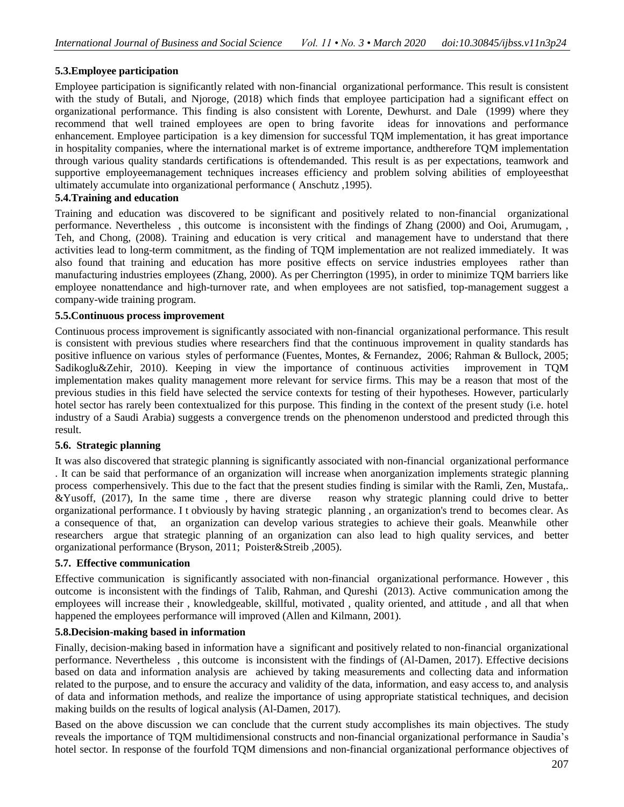# **5.3.Employee participation**

Employee participation is significantly related with non-financial organizational performance. This result is consistent with the study of Butali, and Njoroge, (2018) which finds that employee participation had a significant effect on organizational performance. This finding is also consistent with Lorente, Dewhurst. and Dale (1999) where they recommend that well trained employees are open to bring favorite ideas for innovations and performance enhancement. Employee participation is a key dimension for successful TQM implementation, it has great importance in hospitality companies, where the international market is of extreme importance, andtherefore TQM implementation through various quality standards certifications is oftendemanded. This result is as per expectations, teamwork and supportive employeemanagement techniques increases efficiency and problem solving abilities of employeesthat ultimately accumulate into organizational performance ( Anschutz ,1995).

### **5.4.Training and education**

Training and education was discovered to be significant and positively related to non-financial organizational performance. Nevertheless , this outcome is inconsistent with the findings of Zhang (2000) and Ooi, Arumugam, , Teh, and Chong, (2008). Training and education is very critical and management have to understand that there activities lead to long-term commitment, as the finding of TQM implementation are not realized immediately. It was also found that training and education has more positive effects on service industries employees rather than manufacturing industries employees (Zhang, 2000). As per Cherrington (1995), in order to minimize TQM barriers like employee nonattendance and high-turnover rate, and when employees are not satisfied, top-management suggest a company-wide training program.

#### **5.5.Continuous process improvement**

Continuous process improvement is significantly associated with non-financial organizational performance. This result is consistent with previous studies where researchers find that the continuous improvement in quality standards has positive influence on various styles of performance (Fuentes, Montes, & Fernandez, 2006; Rahman & Bullock, 2005; Sadikoglu&Zehir, 2010). Keeping in view the importance of continuous activities improvement in TQM implementation makes quality management more relevant for service firms. This may be a reason that most of the previous studies in this field have selected the service contexts for testing of their hypotheses. However, particularly hotel sector has rarely been contextualized for this purpose. This finding in the context of the present study (i.e. hotel industry of a Saudi Arabia) suggests a convergence trends on the phenomenon understood and predicted through this result.

### **5.6. Strategic planning**

It was also discovered that strategic planning is significantly associated with non-financial organizational performance . It can be said that performance of an organization will increase when anorganization implements strategic planning process comperhensively. This due to the fact that the present studies finding is similar with the Ramli, Zen, Mustafa,. &Yusoff, (2017), In the same time , there are diverse reason why strategic planning could drive to better organizational performance. I t obviously by having strategic planning , an organization's trend to becomes clear. As a consequence of that, an organization can develop various strategies to achieve their goals. Meanwhile other researchers argue that strategic planning of an organization can also lead to high quality services, and better organizational performance (Bryson, 2011; Poister&Streib ,2005).

### **5.7. Effective communication**

Effective communication is significantly associated with non-financial organizational performance. However , this outcome is inconsistent with the findings of Talib, Rahman, and Qureshi (2013). Active communication among the employees will increase their , knowledgeable, skillful, motivated , quality oriented, and attitude , and all that when happened the employees performance will improved (Allen and Kilmann, 2001).

#### **5.8.Decision-making based in information**

Finally, decision-making based in information have a significant and positively related to non-financial organizational performance. Nevertheless , this outcome is inconsistent with the findings of (Al-Damen, 2017). Effective decisions based on data and information analysis are achieved by taking measurements and collecting data and information related to the purpose, and to ensure the accuracy and validity of the data, information, and easy access to, and analysis of data and information methods, and realize the importance of using appropriate statistical techniques, and decision making builds on the results of logical analysis (Al-Damen, 2017).

Based on the above discussion we can conclude that the current study accomplishes its main objectives. The study reveals the importance of TQM multidimensional constructs and non-financial organizational performance in Saudia's hotel sector. In response of the fourfold TQM dimensions and non-financial organizational performance objectives of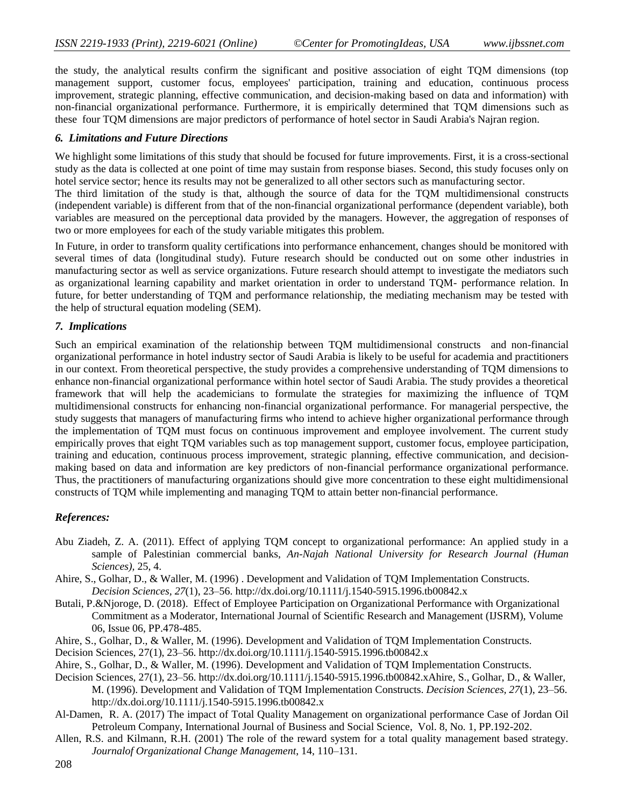the study, the analytical results confirm the significant and positive association of eight TQM dimensions (top management support, customer focus, employees' participation, training and education, continuous process improvement, strategic planning, effective communication, and decision-making based on data and information) with non-financial organizational performance. Furthermore, it is empirically determined that TQM dimensions such as these four TQM dimensions are major predictors of performance of hotel sector in Saudi Arabia's Najran region.

#### *6. Limitations and Future Directions*

We highlight some limitations of this study that should be focused for future improvements. First, it is a cross-sectional study as the data is collected at one point of time may sustain from response biases. Second, this study focuses only on hotel service sector; hence its results may not be generalized to all other sectors such as manufacturing sector.

The third limitation of the study is that, although the source of data for the TQM multidimensional constructs (independent variable) is different from that of the non-financial organizational performance (dependent variable), both variables are measured on the perceptional data provided by the managers. However, the aggregation of responses of two or more employees for each of the study variable mitigates this problem.

In Future, in order to transform quality certifications into performance enhancement, changes should be monitored with several times of data (longitudinal study). Future research should be conducted out on some other industries in manufacturing sector as well as service organizations. Future research should attempt to investigate the mediators such as organizational learning capability and market orientation in order to understand TQM- performance relation. In future, for better understanding of TQM and performance relationship, the mediating mechanism may be tested with the help of structural equation modeling (SEM).

#### *7. Implications*

Such an empirical examination of the relationship between TQM multidimensional constructs and non-financial organizational performance in hotel industry sector of Saudi Arabia is likely to be useful for academia and practitioners in our context. From theoretical perspective, the study provides a comprehensive understanding of TQM dimensions to enhance non-financial organizational performance within hotel sector of Saudi Arabia. The study provides a theoretical framework that will help the academicians to formulate the strategies for maximizing the influence of TQM multidimensional constructs for enhancing non-financial organizational performance. For managerial perspective, the study suggests that managers of manufacturing firms who intend to achieve higher organizational performance through the implementation of TQM must focus on continuous improvement and employee involvement. The current study empirically proves that eight TQM variables such as top management support, customer focus, employee participation, training and education, continuous process improvement, strategic planning, effective communication, and decisionmaking based on data and information are key predictors of non-financial performance organizational performance. Thus, the practitioners of manufacturing organizations should give more concentration to these eight multidimensional constructs of TQM while implementing and managing TQM to attain better non-financial performance.

#### *References:*

- Abu Ziadeh, Z. A. (2011). Effect of applying TQM concept to organizational performance: An applied study in a sample of Palestinian commercial banks, *An-Najah National University for Research Journal (Human Sciences),* 25, 4.
- Ahire, S., Golhar, D., & Waller, M. (1996) . Development and Validation of TQM Implementation Constructs. *Decision Sciences, 27*(1), 23–56.<http://dx.doi.org/10.1111/j.1540-5915.1996.tb00842.x>
- Butali, P.&Njoroge, D. (2018). Effect of Employee Participation on Organizational Performance with Organizational Commitment as a Moderator, International Journal of Scientific Research and Management (IJSRM), Volume 06, Issue 06, PP.478-485.
- Ahire, S., Golhar, D., & Waller, M. (1996). Development and Validation of TQM Implementation Constructs.
- Decision Sciences, 27(1), 23–56. http://dx.doi.org/10.1111/j.1540-5915.1996.tb00842.x
- Ahire, S., Golhar, D., & Waller, M. (1996). Development and Validation of TQM Implementation Constructs.
- Decision Sciences, 27(1), 23–56. http://dx.doi.org/10.1111/j.1540-5915.1996.tb00842.xAhire, S., Golhar, D., & Waller, M. (1996). Development and Validation of TQM Implementation Constructs. *Decision Sciences, 27*(1), 23–56. <http://dx.doi.org/10.1111/j.1540-5915.1996.tb00842.x>
- Al-Damen, R. A. (2017) The impact of Total Quality Management on organizational performance Case of Jordan Oil Petroleum Company, International Journal of Business and Social Science, Vol. 8, No. 1, PP.192-202.
- Allen, R.S. and Kilmann, R.H. (2001) The role of the reward system for a total quality management based strategy. *Journalof Organizational Change Management*, 14, 110–131.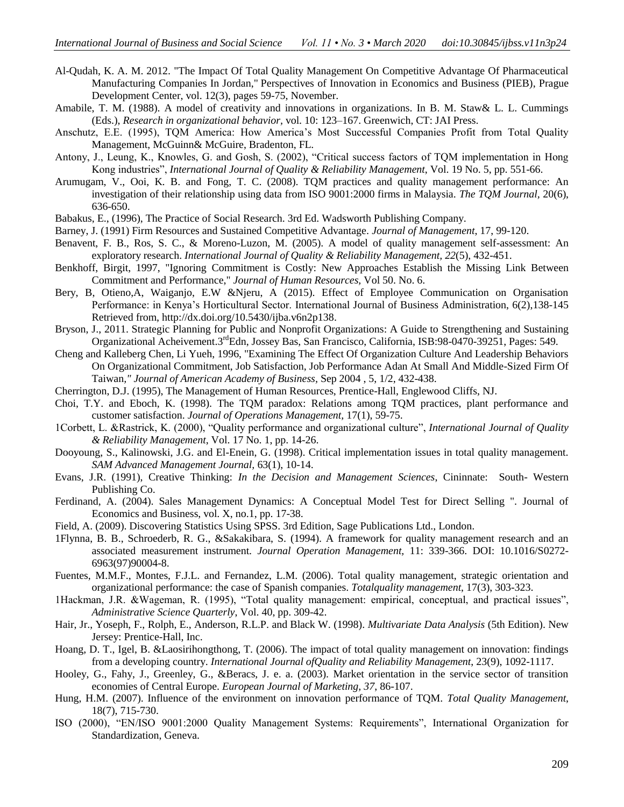- Al-Qudah, K. A. M. 2012. ["The Impact Of Total Quality Management On Competitive Advantage Of Pharmaceutical](https://ideas.repec.org/a/pdc/jrpieb/v12y2012i3p59-75.html)  [Manufacturing Companies In Jordan,](https://ideas.repec.org/a/pdc/jrpieb/v12y2012i3p59-75.html)" [Perspectives of Innovation in Economics and Business \(PIEB\),](https://ideas.repec.org/s/pdc/jrpieb.html) Prague Development Center, vol. 12(3), pages 59-75, November.
- Amabile, T. M. (1988). A model of creativity and innovations in organizations. In B. M. Staw& L. L. Cummings (Eds.), *Research in organizational behavior,* vol. 10: 123–167. Greenwich, CT: JAI Press.
- Anschutz, E.E. (1995), TQM America: How America's Most Successful Companies Profit from Total Quality Management, McGuinn& McGuire, Bradenton, FL.
- Antony, J., Leung, K., Knowles, G. and Gosh, S. (2002), "Critical success factors of TQM implementation in Hong Kong industries", *International Journal of Quality & Reliability Management*, Vol. 19 No. 5, pp. 551-66.
- Arumugam, V., Ooi, K. B. and Fong, T. C. (2008). TQM practices and quality management performance: An investigation of their relationship using data from ISO 9001:2000 firms in Malaysia. *The TQM Journal,* 20(6), 636-650.
- Babakus, E., (1996), The Practice of Social Research. 3rd Ed. Wadsworth Publishing Company.
- Barney, J. (1991) Firm Resources and Sustained Competitive Advantage. *Journal of Management*, 17, 99-120.
- Benavent, F. B., Ros, S. C., & Moreno-Luzon, M. (2005). A model of quality management self-assessment: An exploratory research. *International Journal of Quality & Reliability Management, 22*(5), 432-451.
- Benkhoff, Birgit, 1997, "Ignoring Commitment is Costly: New Approaches Establish the Missing Link Between Commitment and Performance," *Journal of Human Resources,* Vol 50. No. 6.
- Bery, B, Otieno, A, Waiganjo, E.W & Njeru, A (2015). Effect of Employee Communication on Organisation Performance: in Kenya's Horticultural Sector. International Journal of Business Administration, 6(2),138-145 Retrieved from, [http://dx.doi.org/10.5430/ijba.v6n2p138.](http://dx.doi.org/10.5430/ijba.v6n2p138)
- Bryson, J., 2011. Strategic Planning for Public and Nonprofit Organizations: A Guide to Strengthening and Sustaining Organizational Acheivement.3rdEdn, Jossey Bas, San Francisco, California, ISB:98-0470-39251, Pages: 549.
- Cheng and Kalleberg Chen, Li Yueh, 1996, "Examining The Effect Of Organization Culture And Leadership Behaviors On Organizational Commitment, Job Satisfaction, Job Performance Adan At Small And Middle-Sized Firm Of Taiwan*," Journal of American Academy of Business,* Sep 2004 , 5, 1/2, 432-438.
- Cherrington, D.J. (1995), The Management of Human Resources, Prentice-Hall, Englewood Cliffs, NJ.
- Choi, T.Y. and Eboch, K. (1998). The TQM paradox: Relations among TQM practices, plant performance and customer satisfaction. *Journal of Operations Management,* 17(1), 59-75.
- 1Corbett, L. &Rastrick, K. (2000), "Quality performance and organizational culture", *International Journal of Quality & Reliability Management*, Vol. 17 No. 1, pp. 14-26.
- Dooyoung, S., Kalinowski, J.G. and El-Enein, G. (1998). Critical implementation issues in total quality management. *SAM Advanced Management Journal,* 63(1), 10-14.
- Evans, J.R. (1991), Creative Thinking: *In the Decision and Management Sciences*, Cininnate: South- Western Publishing Co.
- Ferdinand, A. (2004). Sales Management Dynamics: A Conceptual Model Test for Direct Selling ". Journal of Economics and Business, vol. X, no.1, pp. 17-38.
- Field, A. (2009). Discovering Statistics Using SPSS. 3rd Edition, Sage Publications Ltd., London.
- 1Flynna, B. B., Schroederb, R. G., &Sakakibara, S. (1994). A framework for quality management research and an associated measurement instrument. *Journal Operation Management,* 11: 339-366. DOI: 10.1016/S0272- 6963(97)90004-8.
- Fuentes, M.M.F., Montes, F.J.L. and Fernandez, L.M. (2006). Total quality management, strategic orientation and organizational performance: the case of Spanish companies. *Totalquality management*, 17(3), 303-323.
- 1Hackman, J.R. &Wageman, R. (1995), "Total quality management: empirical, conceptual, and practical issues", *Administrative Science Quarterly*, Vol. 40, pp. 309-42.
- Hair, Jr., Yoseph, F., Rolph, E., Anderson, R.L.P. and Black W. (1998). *Multivariate Data Analysis* (5th Edition). New Jersey: Prentice-Hall, Inc.
- Hoang, D. T., Igel, B. &Laosirihongthong, T. (2006). The impact of total quality management on innovation: findings from a developing country. *International Journal ofQuality and Reliability Management*, 23(9), 1092-1117.
- Hooley, G., Fahy, J., Greenley, G., &Beracs, J. e. a. (2003). Market orientation in the service sector of transition economies of Central Europe. *European Journal of Marketing, 37*, 86-107.
- Hung, H.M. (2007). Influence of the environment on innovation performance of TQM. *Total Quality Management*, 18(7), 715-730.
- ISO (2000), "EN/ISO 9001:2000 Quality Management Systems: Requirements", International Organization for Standardization, Geneva.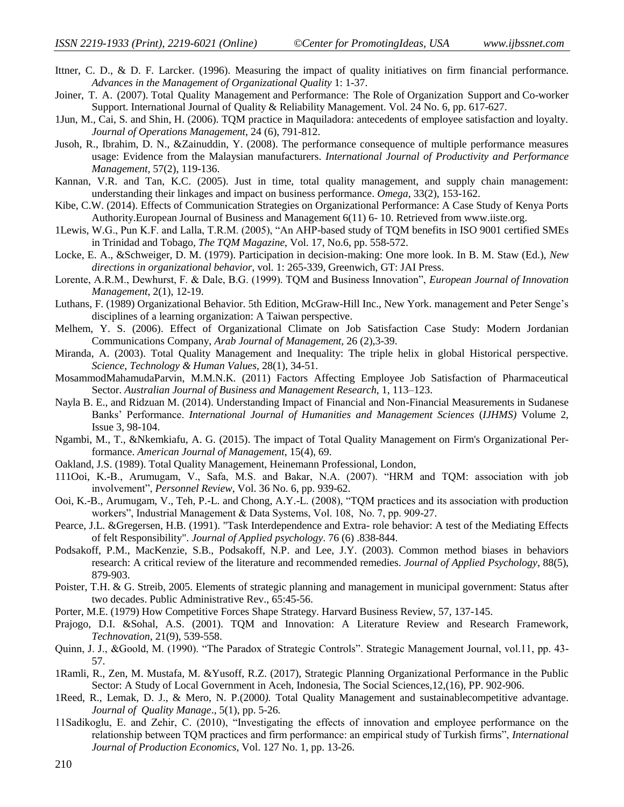- Ittner, C. D., & D. F. Larcker. (1996). Measuring the impact of quality initiatives on firm financial performance. *Advances in the Management of Organizational Quality* 1: 1-37.
- Joiner, T. A. (2007). Total Quality Management and Performance: The Role of Organization Support and Co-worker Support. International Journal of Quality & Reliability Management. Vol. 24 No. 6, pp. 617-627.
- 1Jun, M., Cai, S. and Shin, H. (2006). TQM practice in Maquiladora: antecedents of employee satisfaction and loyalty. *Journal of Operations Management*, 24 (6), 791-812.
- Jusoh, R., Ibrahim, D. N., &Zainuddin, Y. (2008). The performance consequence of multiple performance measures usage: Evidence from the Malaysian manufacturers. *International Journal of Productivity and Performance Management,* 57(2), 119-136.
- Kannan, V.R. and Tan, K.C. (2005). Just in time, total quality management, and supply chain management: understanding their linkages and impact on business performance. *Omega*, 33(2), 153-162.
- Kibe, C.W. (2014). Effects of Communication Strategies on Organizational Performance: A Case Study of Kenya Ports Authority.European Journal of Business and Management 6(11) 6- 10. Retrieved fro[m www.iiste.org.](http://www.iiste.org/)
- 1Lewis, W.G., Pun K.F. and Lalla, T.R.M. (2005), "An AHP-based study of TQM benefits in ISO 9001 certified SMEs in Trinidad and Tobago, *The TQM Magazine*, Vol. 17, No.6, pp. 558-572.
- Locke, E. A., &Schweiger, D. M. (1979). Participation in decision-making: One more look. In B. M. Staw (Ed.), *New directions in organizational behavior*, vol. 1: 265-339, Greenwich, GT: JAI Press.
- Lorente, A.R.M., Dewhurst, F. & Dale, B.G. (1999). TQM and Business Innovation", *European Journal of Innovation Management*, 2(1), 12-19.
- Luthans, F. (1989) Organizational Behavior. 5th Edition, McGraw-Hill Inc., New York. management and Peter Senge's disciplines of a learning organization: A Taiwan perspective.
- Melhem, Y. S. (2006). Effect of Organizational Climate on Job Satisfaction Case Study: Modern Jordanian Communications Company, *Arab Journal of Management,* 26 (2),3-39.
- Miranda, A. (2003). Total Quality Management and Inequality: The triple helix in global Historical perspective. *Science, Technology & Human Values*, 28(1), 34-51.
- MosammodMahamudaParvin, M.M.N.K. (2011) Factors Affecting Employee Job Satisfaction of Pharmaceutical Sector. *Australian Journal of Business and Management Research*, 1, 113–123.
- Nayla B. E., and Ridzuan M. (2014). Understanding Impact of Financial and Non-Financial Measurements in Sudanese Banks' Performance. *International Journal of Humanities and Management Sciences* (*IJHMS)* Volume 2, Issue 3, 98-104.
- Ngambi, M., T., &Nkemkiafu, A. G. (2015). The impact of Total Quality Management on Firm's Organizational Performance. *American Journal of Management*, 15(4), 69.
- Oakland, J.S. (1989). Total Quality Management, Heinemann Professional, London,
- 111Ooi, K.-B., Arumugam, V., Safa, M.S. and Bakar, N.A. (2007). "HRM and TQM: association with job involvement", *Personnel Review*, Vol. 36 No. 6, pp. 939-62.
- Ooi, K.-B., Arumugam, V., Teh, P.-L. and Chong, A.Y.-L. (2008), "TQM practices and its association with production workers", Industrial Management & Data Systems, Vol. 108, No. 7, pp. 909-27.
- Pearce, J.L. &Gregersen, H.B. (1991). "Task Interdependence and Extra- role behavior: A test of the Mediating Effects of felt Responsibility". *Journal of Applied psychology*. 76 (6) .838-844.
- Podsakoff, P.M., MacKenzie, S.B., Podsakoff, N.P. and Lee, J.Y. (2003). Common method biases in behaviors research: A critical review of the literature and recommended remedies. *Journal of Applied Psychology*, 88(5), 879-903.
- Poister, T.H. & G. Streib, 2005. Elements of strategic planning and management in municipal government: Status after two decades. Public Administrative Rev., 65:45-56.
- Porter, M.E. (1979) How Competitive Forces Shape Strategy. Harvard Business Review, 57, 137-145.
- Prajogo, D.I. &Sohal, A.S. (2001). TQM and Innovation: A Literature Review and Research Framework, *Technovation*, 21(9), 539-558.
- Quinn, J. J., &Goold, M. (1990). "The Paradox of Strategic Controls". Strategic Management Journal, vol.11, pp. 43- 57.
- 1Ramli, R., Zen, M. Mustafa, M. &Yusoff, R.Z. (2017), Strategic Planning Organizational Performance in the Public Sector: A Study of Local Government in Aceh, Indonesia, The Social Sciences,12,(16), PP. 902-906.
- 1Reed, R., Lemak, D. J., & Mero, N*.* P.(2000*).* Total Quality Management and sustainablecompetitive advantage. *Journal of Quality Manage*., 5(1), pp. 5-26*.*
- 11Sadikoglu, E. and Zehir, C. (2010), "Investigating the effects of innovation and employee performance on the relationship between TQM practices and firm performance: an empirical study of Turkish firms", *International Journal of Production Economics*, Vol. 127 No. 1, pp. 13-26.